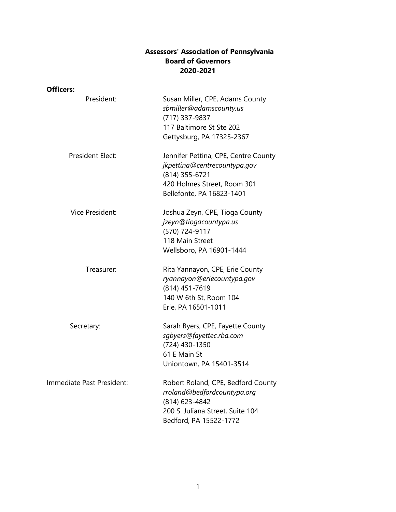## **Assessors' Association of Pennsylvania Board of Governors 2020-2021**

| Officers:                 |                                                                                                                                                    |
|---------------------------|----------------------------------------------------------------------------------------------------------------------------------------------------|
| President:                | Susan Miller, CPE, Adams County<br>sbmiller@adamscounty.us<br>(717) 337-9837<br>117 Baltimore St Ste 202<br>Gettysburg, PA 17325-2367              |
| <b>President Elect:</b>   | Jennifer Pettina, CPE, Centre County<br>jkpettina@centrecountypa.gov<br>(814) 355-6721<br>420 Holmes Street, Room 301<br>Bellefonte, PA 16823-1401 |
| Vice President:           | Joshua Zeyn, CPE, Tioga County<br>jzeyn@tiogacountypa.us<br>(570) 724-9117<br>118 Main Street<br>Wellsboro, PA 16901-1444                          |
| Treasurer:                | Rita Yannayon, CPE, Erie County<br>ryannayon@eriecountypa.gov<br>(814) 451-7619<br>140 W 6th St, Room 104<br>Erie, PA 16501-1011                   |
| Secretary:                | Sarah Byers, CPE, Fayette County<br>sqbyers@fayettec.rba.com<br>(724) 430-1350<br>61 E Main St<br>Uniontown, PA 15401-3514                         |
| Immediate Past President: | Robert Roland, CPE, Bedford County<br>rroland@bedfordcountypa.org<br>(814) 623-4842<br>200 S. Juliana Street, Suite 104<br>Bedford, PA 15522-1772  |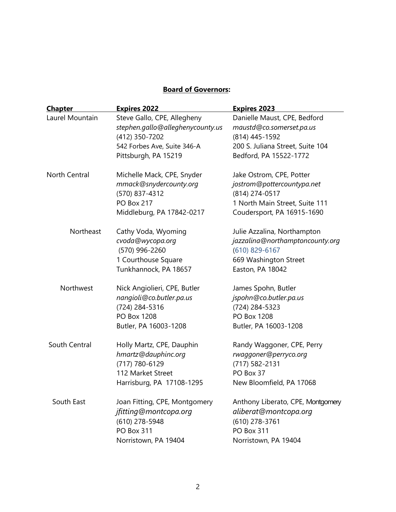## **Board of Governors:**

| <b>Chapter</b>  | <b>Expires 2022</b>              | <b>Expires 2023</b>               |
|-----------------|----------------------------------|-----------------------------------|
| Laurel Mountain | Steve Gallo, CPE, Allegheny      | Danielle Maust, CPE, Bedford      |
|                 | stephen.gallo@alleghenycounty.us | maustd@co.somerset.pa.us          |
|                 | (412) 350-7202                   | (814) 445-1592                    |
|                 | 542 Forbes Ave, Suite 346-A      | 200 S. Juliana Street, Suite 104  |
|                 | Pittsburgh, PA 15219             | Bedford, PA 15522-1772            |
| North Central   | Michelle Mack, CPE, Snyder       | Jake Ostrom, CPE, Potter          |
|                 | mmack@snydercounty.org           | jostrom@pottercountypa.net        |
|                 | (570) 837-4312                   | (814) 274-0517                    |
|                 | <b>PO Box 217</b>                | 1 North Main Street, Suite 111    |
|                 | Middleburg, PA 17842-0217        | Coudersport, PA 16915-1690        |
| Northeast       | Cathy Voda, Wyoming              | Julie Azzalina, Northampton       |
|                 | cvoda@wycopa.org                 | jazzalina@northamptoncounty.org   |
|                 | (570) 996-2260                   | $(610)$ 829-6167                  |
|                 | 1 Courthouse Square              | 669 Washington Street             |
|                 | Tunkhannock, PA 18657            | Easton, PA 18042                  |
| Northwest       | Nick Angiolieri, CPE, Butler     | James Spohn, Butler               |
|                 | nangioli@co.butler.pa.us         | jspohn@co.butler.pa.us            |
|                 | (724) 284-5316                   | (724) 284-5323                    |
|                 | PO Box 1208                      | PO Box 1208                       |
|                 | Butler, PA 16003-1208            | Butler, PA 16003-1208             |
| South Central   | Holly Martz, CPE, Dauphin        | Randy Waggoner, CPE, Perry        |
|                 | hmartz@dauphinc.org              | rwaggoner@perryco.org             |
|                 | (717) 780-6129                   | (717) 582-2131                    |
|                 | 112 Market Street                | PO Box 37                         |
|                 | Harrisburg, PA 17108-1295        | New Bloomfield, PA 17068          |
| South East      | Joan Fitting, CPE, Montgomery    | Anthony Liberato, CPE, Montgomery |
|                 | jfitting@montcopa.org            | aliberat@montcopa.org             |
|                 | (610) 278-5948                   | (610) 278-3761                    |
|                 | <b>PO Box 311</b>                | <b>PO Box 311</b>                 |
|                 | Norristown, PA 19404             | Norristown, PA 19404              |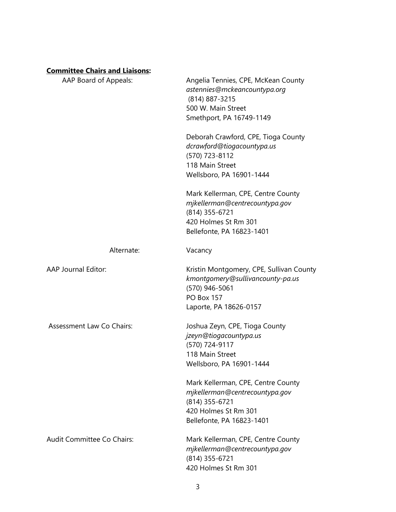## **Committee Chairs and Liaisons:**

| AAP Board of Appeals:            | Angelia Tennies, CPE, McKean County<br>astennies@mckeancountypa.org<br>(814) 887-3215<br>500 W. Main Street<br>Smethport, PA 16749-1149                                                                                                                                  |
|----------------------------------|--------------------------------------------------------------------------------------------------------------------------------------------------------------------------------------------------------------------------------------------------------------------------|
|                                  | Deborah Crawford, CPE, Tioga County<br>dcrawford@tiogacountypa.us<br>(570) 723-8112<br>118 Main Street<br>Wellsboro, PA 16901-1444                                                                                                                                       |
|                                  | Mark Kellerman, CPE, Centre County<br>mjkellerman@centrecountypa.gov<br>(814) 355-6721<br>420 Holmes St Rm 301<br>Bellefonte, PA 16823-1401                                                                                                                              |
| Alternate:                       | Vacancy                                                                                                                                                                                                                                                                  |
| AAP Journal Editor:              | Kristin Montgomery, CPE, Sullivan County<br>kmontgomery@sullivancounty-pa.us<br>(570) 946-5061<br><b>PO Box 157</b><br>Laporte, PA 18626-0157                                                                                                                            |
| <b>Assessment Law Co Chairs:</b> | Joshua Zeyn, CPE, Tioga County<br>jzeyn@tiogacountypa.us<br>(570) 724-9117<br>118 Main Street<br>Wellsboro, PA 16901-1444<br>Mark Kellerman, CPE, Centre County<br>mjkellerman@centrecountypa.gov<br>(814) 355-6721<br>420 Holmes St Rm 301<br>Bellefonte, PA 16823-1401 |
| Audit Committee Co Chairs:       | Mark Kellerman, CPE, Centre County<br>mjkellerman@centrecountypa.gov<br>(814) 355-6721<br>420 Holmes St Rm 301                                                                                                                                                           |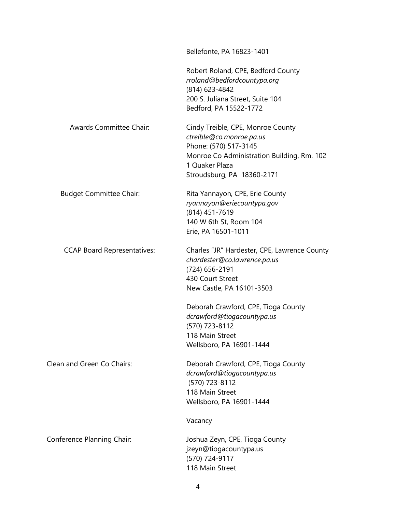|                                    | Bellefonte, PA 16823-1401                                                                                                                                                                                                                                 |
|------------------------------------|-----------------------------------------------------------------------------------------------------------------------------------------------------------------------------------------------------------------------------------------------------------|
|                                    | Robert Roland, CPE, Bedford County<br>rroland@bedfordcountypa.org<br>(814) 623-4842<br>200 S. Juliana Street, Suite 104<br>Bedford, PA 15522-1772                                                                                                         |
| Awards Committee Chair:            | Cindy Treible, CPE, Monroe County<br>ctreible@co.monroe.pa.us<br>Phone: (570) 517-3145<br>Monroe Co Administration Building, Rm. 102<br>1 Quaker Plaza<br>Stroudsburg, PA 18360-2171                                                                      |
| <b>Budget Committee Chair:</b>     | Rita Yannayon, CPE, Erie County<br>ryannayon@eriecountypa.gov<br>(814) 451-7619<br>140 W 6th St, Room 104<br>Erie, PA 16501-1011                                                                                                                          |
| <b>CCAP Board Representatives:</b> | Charles "JR" Hardester, CPE, Lawrence County<br>chardester@co.lawrence.pa.us<br>(724) 656-2191<br>430 Court Street<br>New Castle, PA 16101-3503<br>Deborah Crawford, CPE, Tioga County<br>dcrawford@tiogacountypa.us<br>(570) 723-8112<br>118 Main Street |
| Clean and Green Co Chairs:         | Wellsboro, PA 16901-1444<br>Deborah Crawford, CPE, Tioga County<br>dcrawford@tiogacountypa.us<br>(570) 723-8112<br>118 Main Street<br>Wellsboro, PA 16901-1444                                                                                            |
| Conference Planning Chair:         | Vacancy<br>Joshua Zeyn, CPE, Tioga County<br>jzeyn@tiogacountypa.us<br>(570) 724-9117<br>118 Main Street                                                                                                                                                  |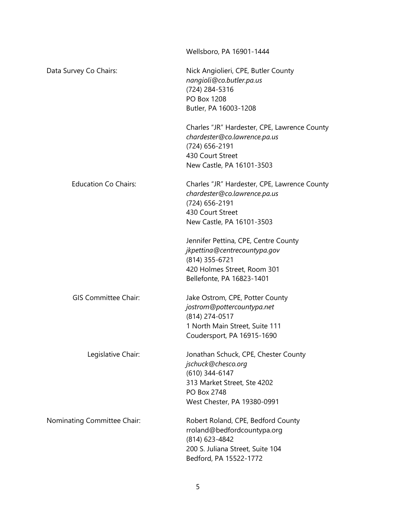|                             | Wellsboro, PA 16901-1444                                                                                                                                  |
|-----------------------------|-----------------------------------------------------------------------------------------------------------------------------------------------------------|
| Data Survey Co Chairs:      | Nick Angiolieri, CPE, Butler County<br>nangioli@co.butler.pa.us<br>(724) 284-5316<br>PO Box 1208<br>Butler, PA 16003-1208                                 |
|                             | Charles "JR" Hardester, CPE, Lawrence County<br>chardester@co.lawrence.pa.us<br>(724) 656-2191<br>430 Court Street<br>New Castle, PA 16101-3503           |
| <b>Education Co Chairs:</b> | Charles "JR" Hardester, CPE, Lawrence County<br>chardester@co.lawrence.pa.us<br>(724) 656-2191<br>430 Court Street<br>New Castle, PA 16101-3503           |
|                             | Jennifer Pettina, CPE, Centre County<br>jkpettina@centrecountypa.gov<br>(814) 355-6721<br>420 Holmes Street, Room 301<br>Bellefonte, PA 16823-1401        |
| <b>GIS Committee Chair:</b> | Jake Ostrom, CPE, Potter County<br>jostrom@pottercountypa.net<br>(814) 274-0517<br>1 North Main Street, Suite 111<br>Coudersport, PA 16915-1690           |
| Legislative Chair:          | Jonathan Schuck, CPE, Chester County<br>jschuck@chesco.org<br>(610) 344-6147<br>313 Market Street, Ste 4202<br>PO Box 2748<br>West Chester, PA 19380-0991 |
| Nominating Committee Chair: | Robert Roland, CPE, Bedford County<br>rroland@bedfordcountypa.org<br>(814) 623-4842<br>200 S. Juliana Street, Suite 104<br>Bedford, PA 15522-1772         |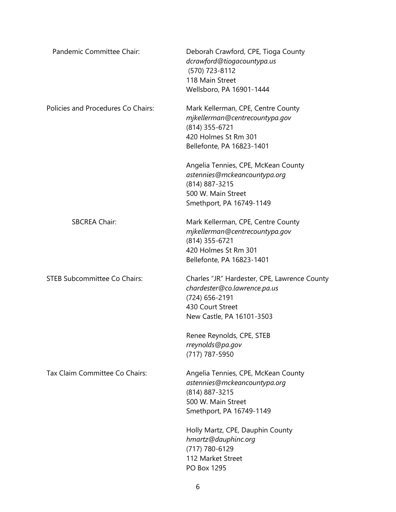| Pandemic Committee Chair:           | Deborah Crawford, CPE, Tioga County<br>dcrawford@tiogacountypa.us<br>(570) 723-8112<br>118 Main Street<br>Wellsboro, PA 16901-1444              |
|-------------------------------------|-------------------------------------------------------------------------------------------------------------------------------------------------|
| Policies and Procedures Co Chairs:  | Mark Kellerman, CPE, Centre County<br>mjkellerman@centrecountypa.gov<br>(814) 355-6721<br>420 Holmes St Rm 301<br>Bellefonte, PA 16823-1401     |
|                                     | Angelia Tennies, CPE, McKean County<br>astennies@mckeancountypa.org<br>(814) 887-3215<br>500 W. Main Street<br>Smethport, PA 16749-1149         |
| <b>SBCREA Chair:</b>                | Mark Kellerman, CPE, Centre County<br>mjkellerman@centrecountypa.gov<br>(814) 355-6721<br>420 Holmes St Rm 301<br>Bellefonte, PA 16823-1401     |
| <b>STEB Subcommittee Co Chairs:</b> | Charles "JR" Hardester, CPE, Lawrence County<br>chardester@co.lawrence.pa.us<br>(724) 656-2191<br>430 Court Street<br>New Castle, PA 16101-3503 |
|                                     | Renee Reynolds, CPE, STEB<br>rreynolds@pa.gov<br>(717) 787-5950                                                                                 |
| Tax Claim Committee Co Chairs:      | Angelia Tennies, CPE, McKean County<br>astennies@mckeancountypa.org<br>(814) 887-3215<br>500 W. Main Street<br>Smethport, PA 16749-1149         |
|                                     | Holly Martz, CPE, Dauphin County<br>hmartz@dauphinc.org<br>(717) 780-6129<br>112 Market Street<br>PO Box 1295                                   |